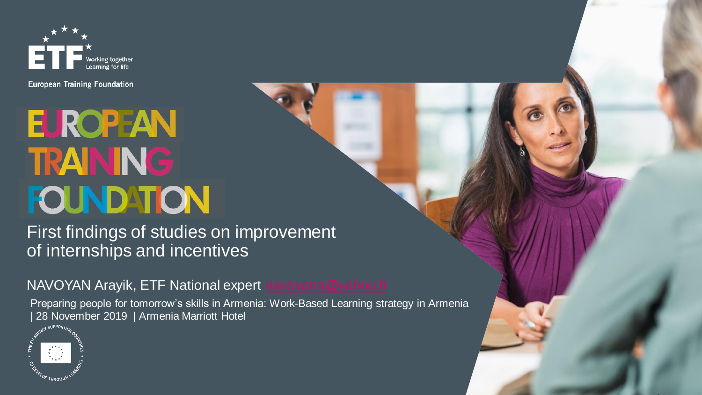

**European Training Foundation** 

# **EUROPEAN TRAINING FOUNDATION**

First findings of studies on improvement of internships and incentives

NAVOYAN Arayik, ETF National expert [navoyana@yahoo.fr](mailto:navoyana@yahoo.fr)

Preparing people for tomorrow's skills in Armenia: Work-Based Learning strategy in Armenia | 28 November 2019 | Armenia Marriott Hotel

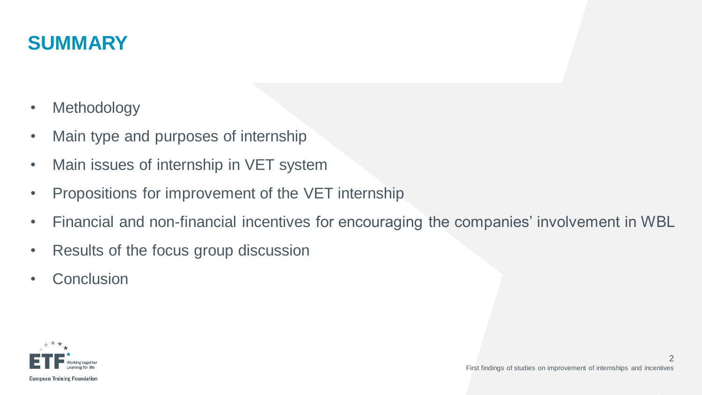## **SUMMARY**

- Methodology
- Main type and purposes of internship
- Main issues of internship in VET system
- Propositions for improvement of the VET internship
- Financial and non-financial incentives for encouraging the companies' involvement in WBL
- Results of the focus group discussion
- Conclusion

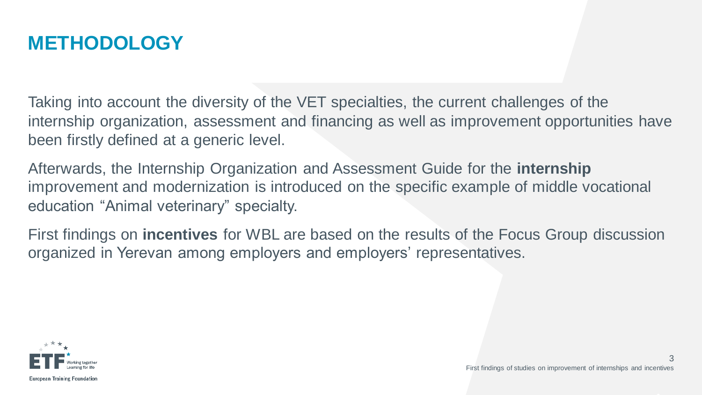## **METHODOLOGY**

Taking into account the diversity of the VET specialties, the current challenges of the internship organization, assessment and financing as well as improvement opportunities have been firstly defined at a generic level.

Afterwards, the Internship Organization and Assessment Guide for the **internship** improvement and modernization is introduced on the specific example of middle vocational education "Animal veterinary" specialty.

First findings on **incentives** for WBL are based on the results of the Focus Group discussion organized in Yerevan among employers and employers' representatives.

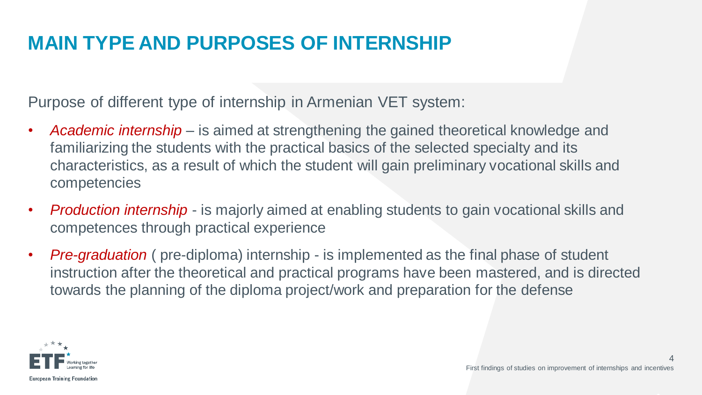# **MAIN TYPE AND PURPOSES OF INTERNSHIP**

Purpose of different type of internship in Armenian VET system:

- *Academic internship*  is aimed at strengthening the gained theoretical knowledge and familiarizing the students with the practical basics of the selected specialty and its characteristics, as a result of which the student will gain preliminary vocational skills and competencies
- *Production internship*  is majorly aimed at enabling students to gain vocational skills and competences through practical experience
- *Pre-graduation* ( pre-diploma) internship is implemented as the final phase of student instruction after the theoretical and practical programs have been mastered, and is directed towards the planning of the diploma project/work and preparation for the defense

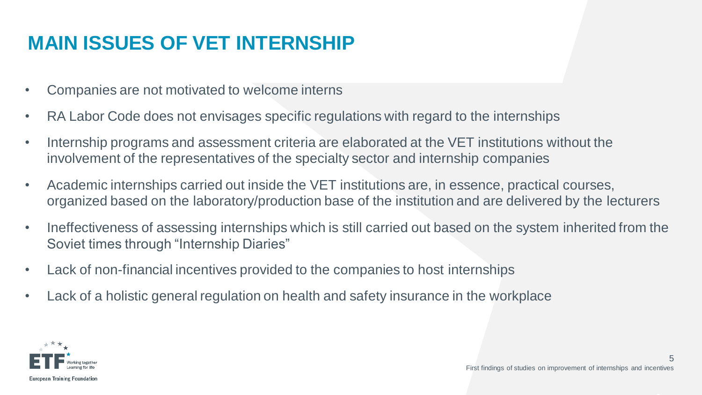# **MAIN ISSUES OF VET INTERNSHIP**

- Companies are not motivated to welcome interns
- RA Labor Code does not envisages specific regulations with regard to the internships
- Internship programs and assessment criteria are elaborated at the VET institutions without the involvement of the representatives of the specialty sector and internship companies
- Academic internships carried out inside the VET institutions are, in essence, practical courses, organized based on the laboratory/production base of the institution and are delivered by the lecturers
- Ineffectiveness of assessing internships which is still carried out based on the system inherited from the Soviet times through "Internship Diaries"
- Lack of non-financial incentives provided to the companies to host internships
- Lack of a holistic general regulation on health and safety insurance in the workplace



5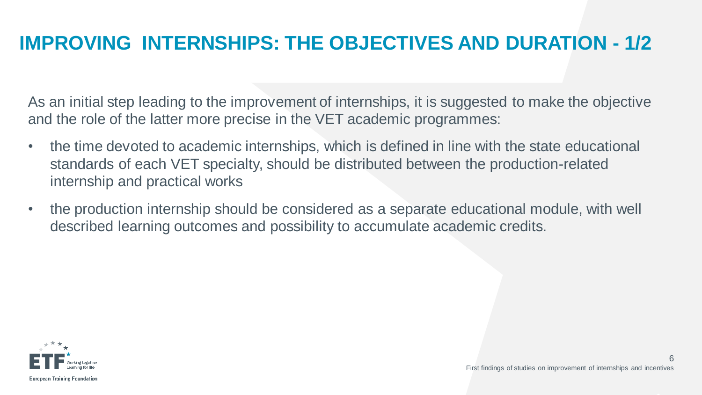# **IMPROVING INTERNSHIPS: THE OBJECTIVES AND DURATION - 1/2**

As an initial step leading to the improvement of internships, it is suggested to make the objective and the role of the latter more precise in the VET academic programmes:

- the time devoted to academic internships, which is defined in line with the state educational standards of each VET specialty, should be distributed between the production-related internship and practical works
- the production internship should be considered as a separate educational module, with well described learning outcomes and possibility to accumulate academic credits.



 $\sqrt{2}$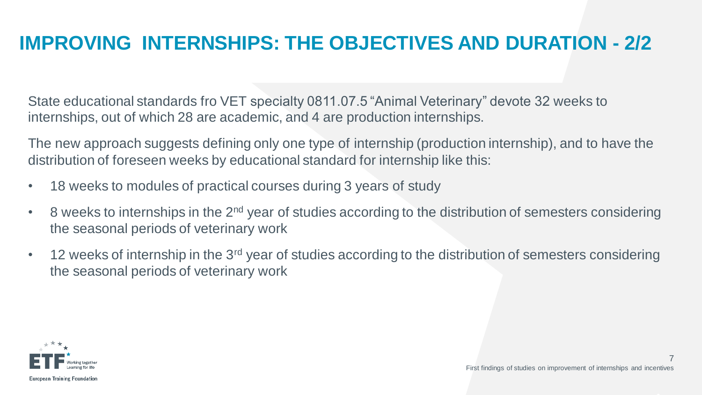# **IMPROVING INTERNSHIPS: THE OBJECTIVES AND DURATION - 2/2**

State educational standards fro VET specialty 0811.07.5 "Animal Veterinary" devote 32 weeks to internships, out of which 28 are academic, and 4 are production internships.

The new approach suggests defining only one type of internship (production internship), and to have the distribution of foreseen weeks by educational standard for internship like this:

- 18 weeks to modules of practical courses during 3 years of study
- $\cdot$  8 weeks to internships in the 2<sup>nd</sup> year of studies according to the distribution of semesters considering the seasonal periods of veterinary work
- 12 weeks of internship in the 3<sup>rd</sup> year of studies according to the distribution of semesters considering the seasonal periods of veterinary work

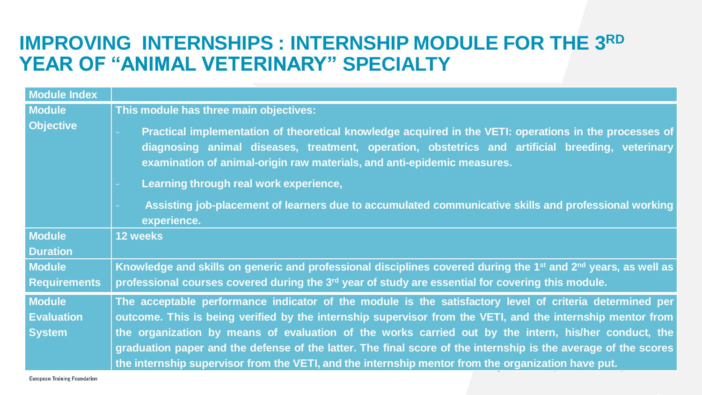#### IMPROVING INTERNSHIPS : INTERNSHIP MODULE FOR THE 3RD **YEAR OF "ANIMAL VETERINARY" SPECIALTY**

| <b>Module Index</b>               |                                                                                                                                                                                                                                                                                       |
|-----------------------------------|---------------------------------------------------------------------------------------------------------------------------------------------------------------------------------------------------------------------------------------------------------------------------------------|
| <b>Module</b><br><b>Objective</b> | This module has three main objectives:                                                                                                                                                                                                                                                |
|                                   | Practical implementation of theoretical knowledge acquired in the VETI: operations in the processes of<br>diagnosing animal diseases, treatment, operation, obstetrics and artificial breeding, veterinary<br>examination of animal-origin raw materials, and anti-epidemic measures. |
|                                   | Learning through real work experience,                                                                                                                                                                                                                                                |
|                                   | Assisting job-placement of learners due to accumulated communicative skills and professional working<br>experience.                                                                                                                                                                   |
| <b>Module</b>                     | 12 weeks                                                                                                                                                                                                                                                                              |
| <b>Duration</b>                   |                                                                                                                                                                                                                                                                                       |
| <b>Module</b>                     | Knowledge and skills on generic and professional disciplines covered during the 1 <sup>st</sup> and 2 <sup>nd</sup> years, as well as                                                                                                                                                 |
| <b>Requirements</b>               | professional courses covered during the $3rd$ year of study are essential for covering this module.                                                                                                                                                                                   |
| <b>Module</b>                     | The acceptable performance indicator of the module is the satisfactory level of criteria determined per                                                                                                                                                                               |
| <b>Evaluation</b>                 | outcome. This is being verified by the internship supervisor from the VETI, and the internship mentor from                                                                                                                                                                            |
| <b>System</b>                     | the organization by means of evaluation of the works carried out by the intern, his/her conduct, the<br>graduation paper and the defense of the latter. The final score of the internship is the average of the scores                                                                |
|                                   | the internship supervisor from the VETI, and the internship mentor from the organization have put.                                                                                                                                                                                    |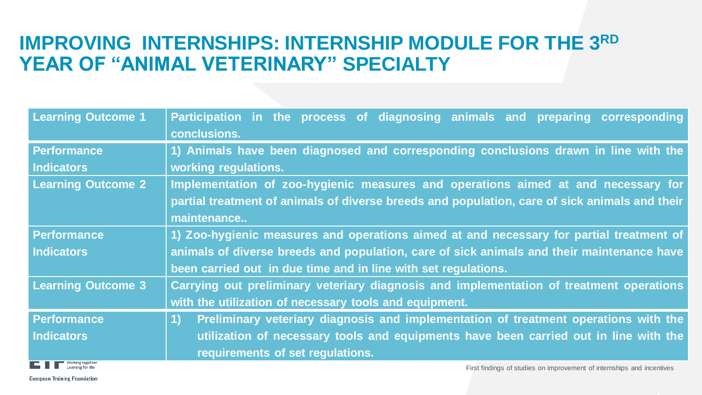#### IMPROVING INTERNSHIPS: INTERNSHIP MODULE FOR THE 3RD **YEAR OF "ANIMAL VETERINARY" SPECIALTY**

| <b>Learning Outcome 1</b>                                                                                                                                                                                                            | Participation in the process of diagnosing animals and preparing corresponding<br>conclusions.   |
|--------------------------------------------------------------------------------------------------------------------------------------------------------------------------------------------------------------------------------------|--------------------------------------------------------------------------------------------------|
| Performance                                                                                                                                                                                                                          | 1) Animals have been diagnosed and corresponding conclusions drawn in line with the              |
| Indicators                                                                                                                                                                                                                           | working regulations.                                                                             |
| <b>Learning Outcome 2</b>                                                                                                                                                                                                            | Implementation of zoo-hygienic measures and operations aimed at and necessary for                |
|                                                                                                                                                                                                                                      | partial treatment of animals of diverse breeds and population, care of sick animals and their    |
|                                                                                                                                                                                                                                      | maintenance                                                                                      |
| <b>Performance</b>                                                                                                                                                                                                                   | 1) Zoo-hygienic measures and operations aimed at and necessary for partial treatment of          |
| <b>Indicators</b>                                                                                                                                                                                                                    | animals of diverse breeds and population, care of sick animals and their maintenance have        |
|                                                                                                                                                                                                                                      | been carried out in due time and in line with set regulations.                                   |
| <b>Learning Outcome 3</b>                                                                                                                                                                                                            | Carrying out preliminary veteriary diagnosis and implementation of treatment operations          |
|                                                                                                                                                                                                                                      | with the utilization of necessary tools and equipment.                                           |
| Performance                                                                                                                                                                                                                          | Preliminary veteriary diagnosis and implementation of treatment operations with the<br><b>1)</b> |
| <b>Indicators</b>                                                                                                                                                                                                                    | utilization of necessary tools and equipments have been carried out in line with the             |
|                                                                                                                                                                                                                                      | requirements of set regulations.                                                                 |
| <b>The Contract of Contract Contract Contract Contract Contract Contract Contract Contract Contract Contract Contract Contract Contract Contract Contract Contract Contract Contract Contract Contract Contract Contract Contrac</b> |                                                                                                  |



First findings of studies on improvement of internships and incentives

**European Training Foundation**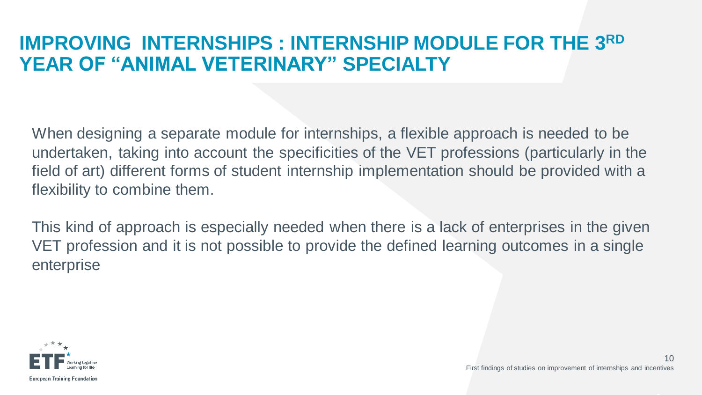#### **IMPROVING INTERNSHIPS : INTERNSHIP MODULE FOR THE 3RD YEAR OF "ANIMAL VETERINARY" SPECIALTY**

When designing a separate module for internships, a flexible approach is needed to be undertaken, taking into account the specificities of the VET professions (particularly in the field of art) different forms of student internship implementation should be provided with a flexibility to combine them.

This kind of approach is especially needed when there is a lack of enterprises in the given VET profession and it is not possible to provide the defined learning outcomes in a single enterprise

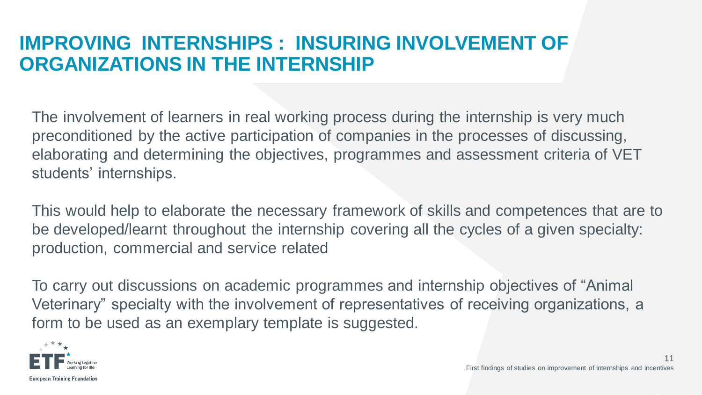#### **IMPROVING INTERNSHIPS : INSURING INVOLVEMENT OF ORGANIZATIONS IN THE INTERNSHIP**

The involvement of learners in real working process during the internship is very much preconditioned by the active participation of companies in the processes of discussing, elaborating and determining the objectives, programmes and assessment criteria of VET students' internships.

This would help to elaborate the necessary framework of skills and competences that are to be developed/learnt throughout the internship covering all the cycles of a given specialty: production, commercial and service related

To carry out discussions on academic programmes and internship objectives of "Animal Veterinary" specialty with the involvement of representatives of receiving organizations, a form to be used as an exemplary template is suggested.

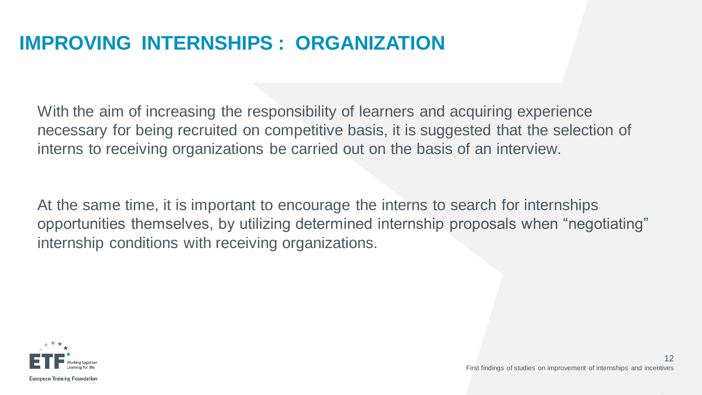# **IMPROVING INTERNSHIPS : ORGANIZATION**

With the aim of increasing the responsibility of learners and acquiring experience necessary for being recruited on competitive basis, it is suggested that the selection of interns to receiving organizations be carried out on the basis of an interview.

At the same time, it is important to encourage the interns to search for internships opportunities themselves, by utilizing determined internship proposals when "negotiating" internship conditions with receiving organizations.

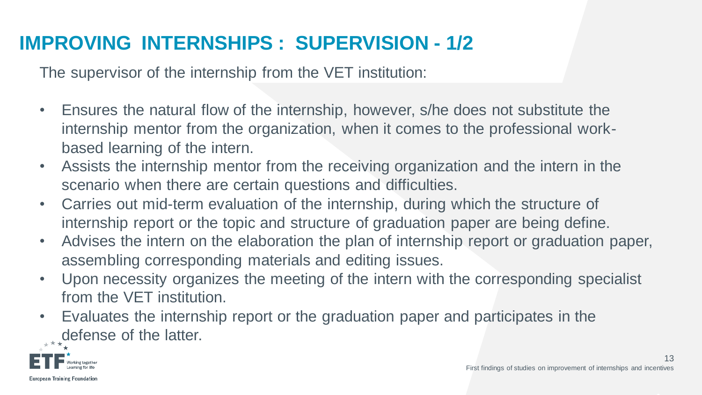# **IMPROVING INTERNSHIPS : SUPERVISION - 1/2**

The supervisor of the internship from the VET institution:

- Ensures the natural flow of the internship, however, s/he does not substitute the internship mentor from the organization, when it comes to the professional workbased learning of the intern.
- Assists the internship mentor from the receiving organization and the intern in the scenario when there are certain questions and difficulties.
- Carries out mid-term evaluation of the internship, during which the structure of internship report or the topic and structure of graduation paper are being define.
- Advises the intern on the elaboration the plan of internship report or graduation paper, assembling corresponding materials and editing issues.
- Upon necessity organizes the meeting of the intern with the corresponding specialist from the VET institution.
- Evaluates the internship report or the graduation paper and participates in the defense of the latter.

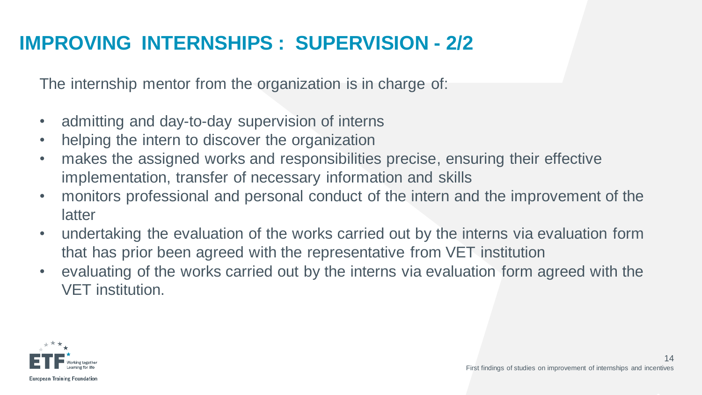# **IMPROVING INTERNSHIPS : SUPERVISION - 2/2**

The internship mentor from the organization is in charge of:

- admitting and day-to-day supervision of interns
- helping the intern to discover the organization
- makes the assigned works and responsibilities precise, ensuring their effective implementation, transfer of necessary information and skills
- monitors professional and personal conduct of the intern and the improvement of the latter
- undertaking the evaluation of the works carried out by the interns via evaluation form that has prior been agreed with the representative from VET institution
- evaluating of the works carried out by the interns via evaluation form agreed with the VET institution.

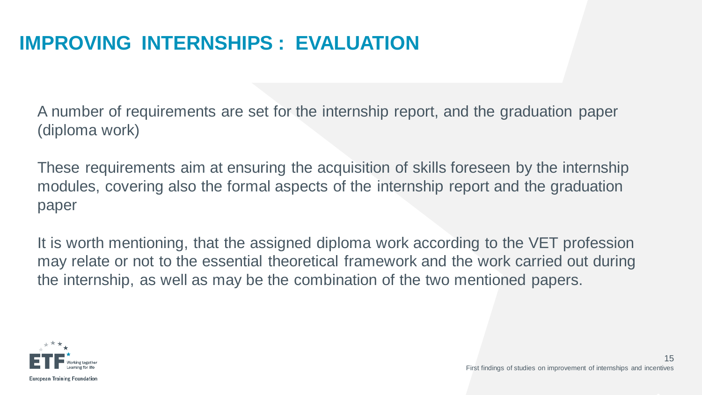# **IMPROVING INTERNSHIPS : EVALUATION**

A number of requirements are set for the internship report, and the graduation paper (diploma work)

These requirements aim at ensuring the acquisition of skills foreseen by the internship modules, covering also the formal aspects of the internship report and the graduation paper

It is worth mentioning, that the assigned diploma work according to the VET profession may relate or not to the essential theoretical framework and the work carried out during the internship, as well as may be the combination of the two mentioned papers.

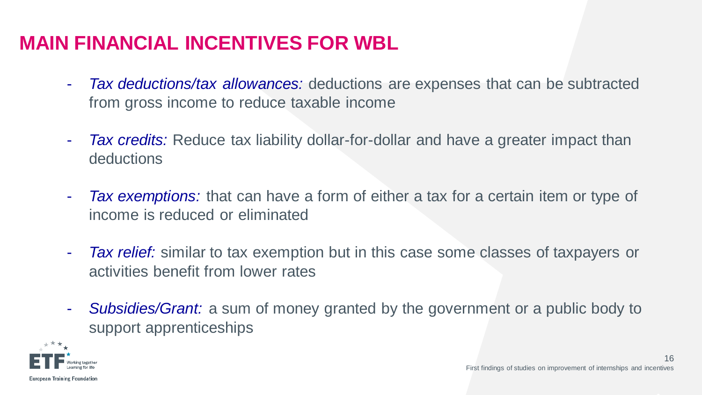# **MAIN FINANCIAL INCENTIVES FOR WBL**

- *Tax deductions/tax allowances:* deductions are expenses that can be subtracted from gross income to reduce taxable income
- *Tax credits:* Reduce tax liability dollar-for-dollar and have a greater impact than deductions
- *Tax exemptions:* that can have a form of either a tax for a certain item or type of income is reduced or eliminated
- *Tax relief:* similar to tax exemption but in this case some classes of taxpayers or activities benefit from lower rates
- *Subsidies/Grant:* a sum of money granted by the government or a public body to support apprenticeships

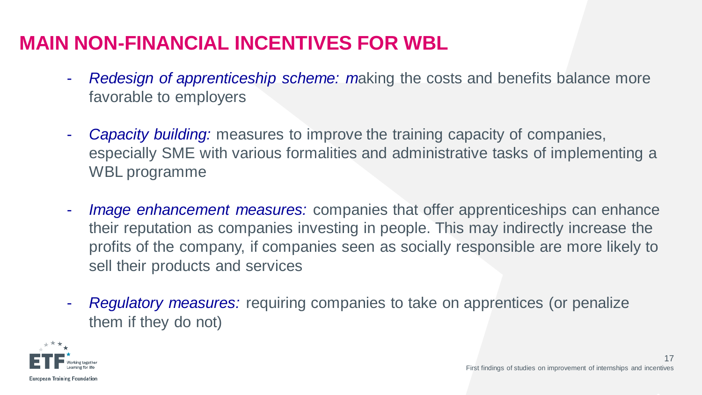# **MAIN NON-FINANCIAL INCENTIVES FOR WBL**

- *Redesign of apprenticeship scheme: m*aking the costs and benefits balance more favorable to employers
- *Capacity building:* measures to improve the training capacity of companies, especially SME with various formalities and administrative tasks of implementing a WBL programme
- *Image enhancement measures:* companies that offer apprenticeships can enhance their reputation as companies investing in people. This may indirectly increase the profits of the company, if companies seen as socially responsible are more likely to sell their products and services
- *Regulatory measures:* requiring companies to take on apprentices (or penalize them if they do not)

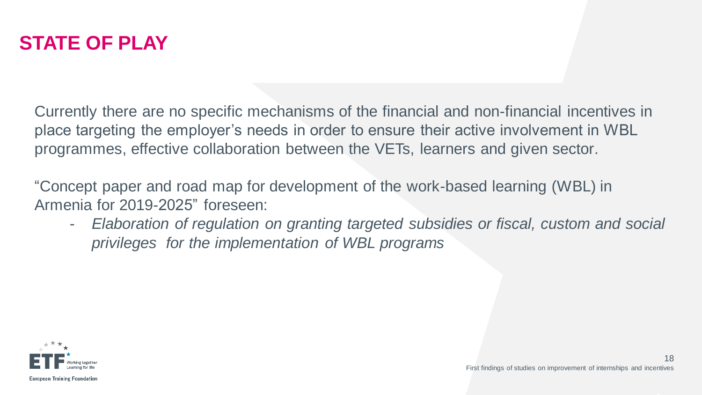

Currently there are no specific mechanisms of the financial and non-financial incentives in place targeting the employer's needs in order to ensure their active involvement in WBL programmes, effective collaboration between the VETs, learners and given sector.

"Concept paper and road map for development of the work-based learning (WBL) in Armenia for 2019-2025" foreseen:

- *Elaboration of regulation on granting targeted subsidies or fiscal, custom and social privileges for the implementation of WBL programs*

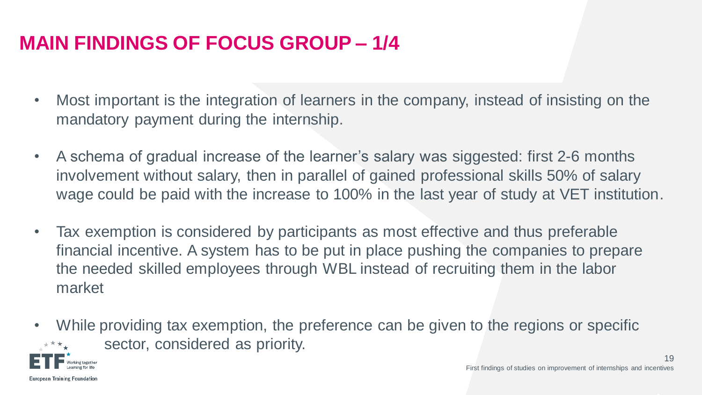# **MAIN FINDINGS OF FOCUS GROUP – 1/4**

- Most important is the integration of learners in the company, instead of insisting on the mandatory payment during the internship.
- A schema of gradual increase of the learner's salary was siggested: first 2-6 months involvement without salary, then in parallel of gained professional skills 50% of salary wage could be paid with the increase to 100% in the last year of study at VET institution.
- Tax exemption is considered by participants as most effective and thus preferable financial incentive. A system has to be put in place pushing the companies to prepare the needed skilled employees through WBL instead of recruiting them in the labor market
- While providing tax exemption, the preference can be given to the regions or specific sector, considered as priority.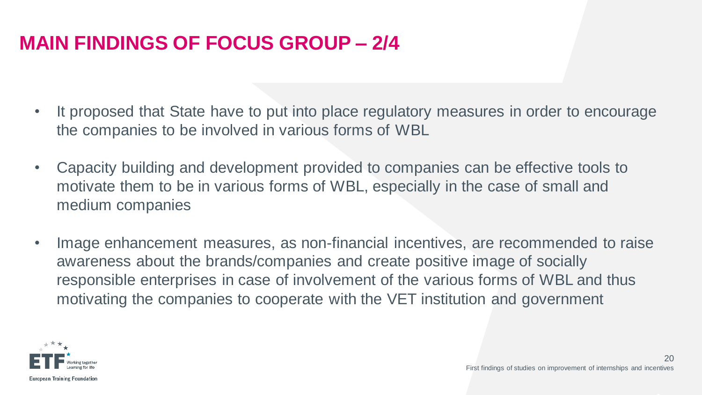# **MAIN FINDINGS OF FOCUS GROUP – 2/4**

- It proposed that State have to put into place regulatory measures in order to encourage the companies to be involved in various forms of WBL
- Capacity building and development provided to companies can be effective tools to motivate them to be in various forms of WBL, especially in the case of small and medium companies
- Image enhancement measures, as non-financial incentives, are recommended to raise awareness about the brands/companies and create positive image of socially responsible enterprises in case of involvement of the various forms of WBL and thus motivating the companies to cooperate with the VET institution and government

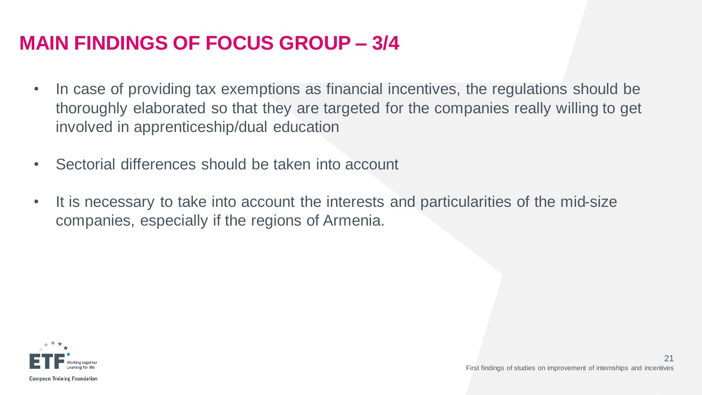## **MAIN FINDINGS OF FOCUS GROUP – 3/4**

- In case of providing tax exemptions as financial incentives, the regulations should be thoroughly elaborated so that they are targeted for the companies really willing to get involved in apprenticeship/dual education
- Sectorial differences should be taken into account
- It is necessary to take into account the interests and particularities of the mid-size companies, especially if the regions of Armenia.

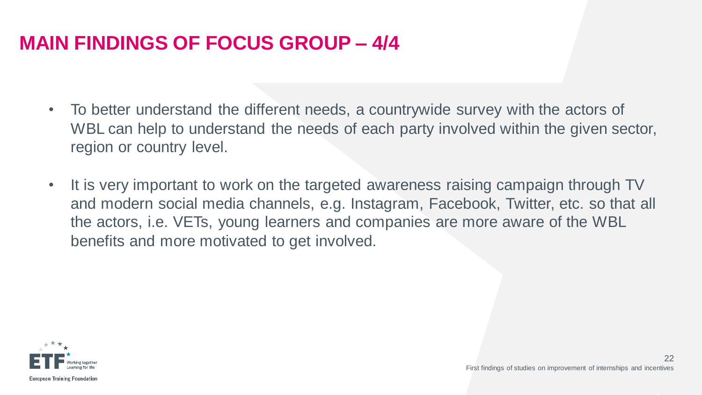# **MAIN FINDINGS OF FOCUS GROUP – 4/4**

- To better understand the different needs, a countrywide survey with the actors of WBL can help to understand the needs of each party involved within the given sector, region or country level.
- It is very important to work on the targeted awareness raising campaign through TV and modern social media channels, e.g. Instagram, Facebook, Twitter, etc. so that all the actors, i.e. VETs, young learners and companies are more aware of the WBL benefits and more motivated to get involved.

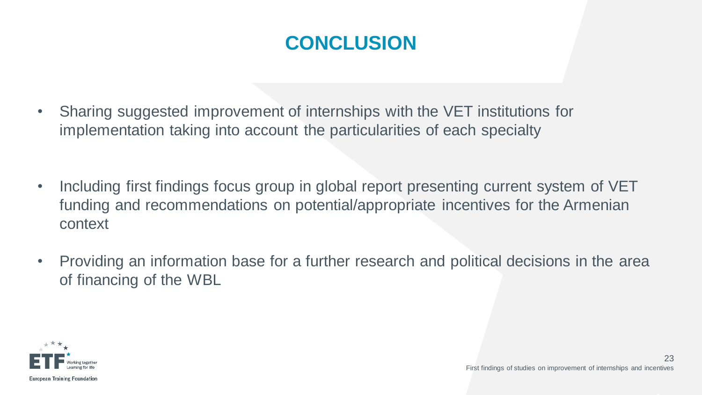# **CONCLUSION**

- Sharing suggested improvement of internships with the VET institutions for implementation taking into account the particularities of each specialty
- Including first findings focus group in global report presenting current system of VET funding and recommendations on potential/appropriate incentives for the Armenian context
- Providing an information base for a further research and political decisions in the area of financing of the WBL

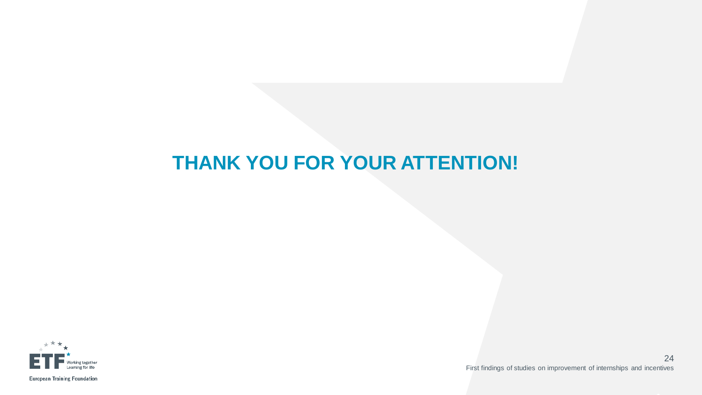## **THANK YOU FOR YOUR ATTENTION!**



First findings of studies on improvement of internships and incentives 24